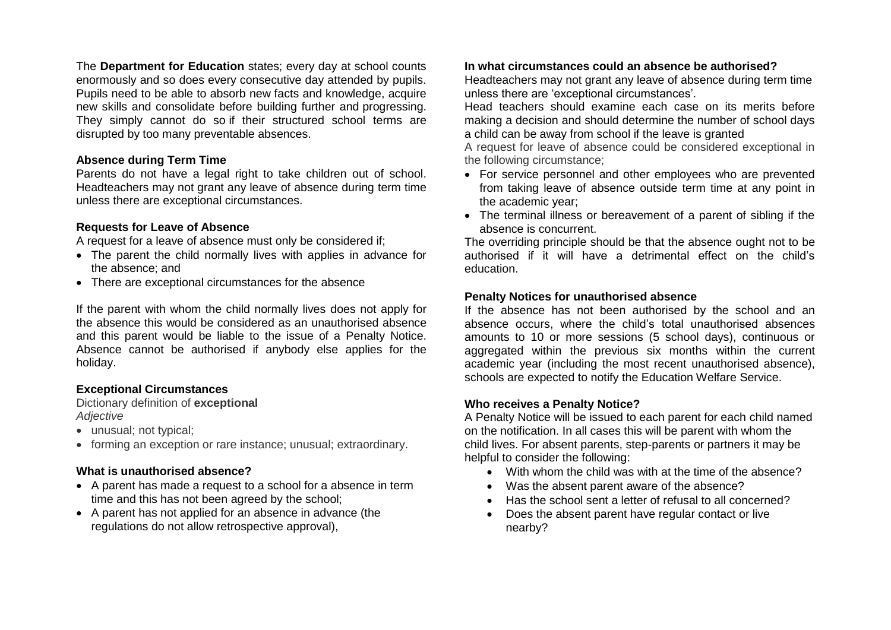The **Department for Education** states; every day at school counts enormously and so does every consecutive day attended by pupils. Pupils need to be able to absorb new facts and knowledge, acquire new skills and consolidate before building further and progressing. They simply cannot do so if their structured school terms are disrupted by too many preventable absences.

#### **Absence during Term Time**

Parents do not have a legal right to take children out of school. Headteachers may not grant any leave of absence during term time unless there are exceptional circumstances.

#### **Requests for Leave of Absence**

A request for a leave of absence must only be considered if;

- The parent the child normally lives with applies in advance for the absence; and
- There are exceptional circumstances for the absence

If the parent with whom the child normally lives does not apply for the absence this would be considered as an unauthorised absence and this parent would be liable to the issue of a Penalty Notice. Absence cannot be authorised if anybody else applies for the holiday.

#### **Exceptional Circumstances**

Dictionary definition of **exceptional** *Adjective*

- unusual; not typical;
- forming an exception or rare instance; unusual; extraordinary.

#### **What is unauthorised absence?**

- A parent has made a request to a school for a absence in term time and this has not been agreed by the school;
- A parent has not applied for an absence in advance (the regulations do not allow retrospective approval),

#### **In what circumstances could an absence be authorised?**

Headteachers may not grant any leave of absence during term time unless there are 'exceptional circumstances'.

Head teachers should examine each case on its merits before making a decision and should determine the number of school days a child can be away from school if the leave is granted

A request for leave of absence could be considered exceptional in the following circumstance;

- For service personnel and other employees who are prevented from taking leave of absence outside term time at any point in the academic year;
- The terminal illness or bereavement of a parent of sibling if the absence is concurrent.

The overriding principle should be that the absence ought not to be authorised if it will have a detrimental effect on the child's education.

#### **Penalty Notices for unauthorised absence**

If the absence has not been authorised by the school and an absence occurs, where the child's total unauthorised absences amounts to 10 or more sessions (5 school days), continuous or aggregated within the previous six months within the current academic year (including the most recent unauthorised absence), schools are expected to notify the Education Welfare Service.

#### **Who receives a Penalty Notice?**

A Penalty Notice will be issued to each parent for each child named on the notification. In all cases this will be parent with whom the child lives. For absent parents, step-parents or partners it may be helpful to consider the following:

- With whom the child was with at the time of the absence?
- Was the absent parent aware of the absence?
- Has the school sent a letter of refusal to all concerned?
- Does the absent parent have regular contact or live nearby?